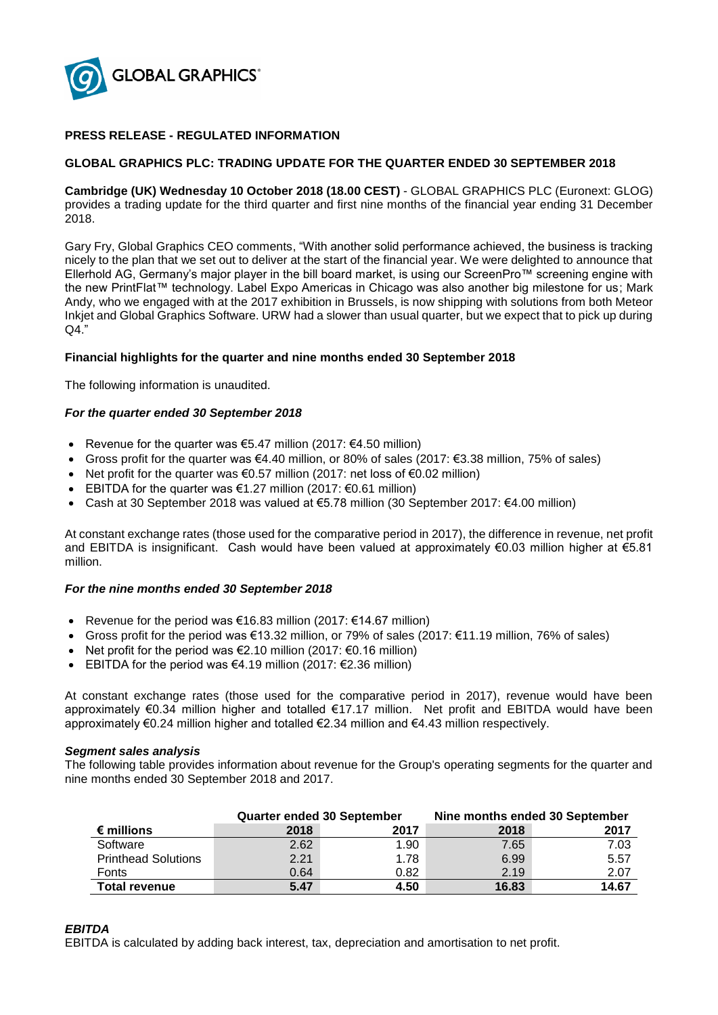

# **PRESS RELEASE - REGULATED INFORMATION**

## **GLOBAL GRAPHICS PLC: TRADING UPDATE FOR THE QUARTER ENDED 30 SEPTEMBER 2018**

**Cambridge (UK) Wednesday 10 October 2018 (18.00 CEST)** - GLOBAL GRAPHICS PLC (Euronext: GLOG) provides a trading update for the third quarter and first nine months of the financial year ending 31 December 2018.

Gary Fry, Global Graphics CEO comments, "With another solid performance achieved, the business is tracking nicely to the plan that we set out to deliver at the start of the financial year. We were delighted to announce that Ellerhold AG, Germany's major player in the bill board market, is using our ScreenPro™ screening engine with the new PrintFlat™ technology. Label Expo Americas in Chicago was also another big milestone for us; Mark Andy, who we engaged with at the 2017 exhibition in Brussels, is now shipping with solutions from both Meteor Inkjet and Global Graphics Software. URW had a slower than usual quarter, but we expect that to pick up during  $Q4."$ 

### **Financial highlights for the quarter and nine months ended 30 September 2018**

The following information is unaudited.

#### *For the quarter ended 30 September 2018*

- Revenue for the quarter was  $65.47$  million (2017:  $64.50$  million)
- Gross profit for the quarter was €4.40 million, or 80% of sales (2017: €3.38 million, 75% of sales)
- Net profit for the quarter was  $\epsilon$ 0.57 million (2017: net loss of  $\epsilon$ 0.02 million)
- EBITDA for the quarter was €1.27 million (2017: €0.61 million)
- Cash at 30 September 2018 was valued at €5.78 million (30 September 2017: €4.00 million)

At constant exchange rates (those used for the comparative period in 2017), the difference in revenue, net profit and EBITDA is insignificant. Cash would have been valued at approximately €0.03 million higher at €5.81 million.

#### *For the nine months ended 30 September 2018*

- Revenue for the period was  $\epsilon$ 16.83 million (2017:  $\epsilon$ 14.67 million)
- Gross profit for the period was €13.32 million, or 79% of sales (2017: €11.19 million, 76% of sales)
- Net profit for the period was  $\epsilon$ 2.10 million (2017:  $\epsilon$ 0.16 million)
- EBITDA for the period was €4.19 million (2017:  $€2.36$  million)

At constant exchange rates (those used for the comparative period in 2017), revenue would have been approximately €0.34 million higher and totalled €17.17 million. Net profit and EBITDA would have been approximately €0.24 million higher and totalled €2.34 million and €4.43 million respectively.

#### *Segment sales analysis*

The following table provides information about revenue for the Group's operating segments for the quarter and nine months ended 30 September 2018 and 2017.

|                            | <b>Quarter ended 30 September</b> |      | Nine months ended 30 September |       |
|----------------------------|-----------------------------------|------|--------------------------------|-------|
| $\epsilon$ millions        | 2018                              | 2017 | 2018                           | 2017  |
| Software                   | 2.62                              | 1.90 | 7.65                           | 7.03  |
| <b>Printhead Solutions</b> | 2.21                              | 1.78 | 6.99                           | 5.57  |
| <b>Fonts</b>               | 0.64                              | 0.82 | 2.19                           | 2.07  |
| <b>Total revenue</b>       | 5.47                              | 4.50 | 16.83                          | 14.67 |

## *EBITDA*

EBITDA is calculated by adding back interest, tax, depreciation and amortisation to net profit.